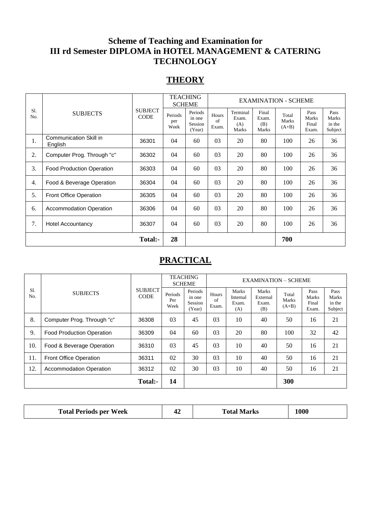# **Scheme of Teaching and Examination for III rd Semester DIPLOMA in HOTEL MANAGEMENT & CATERING TECHNOLOGY**

# **THEORY**

|            |                                   |                               | TEACHING<br><b>SCHEME</b> |                                        | <b>EXAMINATION - SCHEME</b> |                                   |                                |                           |                                 |                                    |
|------------|-----------------------------------|-------------------------------|---------------------------|----------------------------------------|-----------------------------|-----------------------------------|--------------------------------|---------------------------|---------------------------------|------------------------------------|
| S1.<br>No. | <b>SUBJECTS</b>                   | <b>SUBJECT</b><br><b>CODE</b> | Periods<br>per<br>Week    | Periods<br>in one<br>Session<br>(Year) | Hours<br>of<br>Exam.        | Terminal<br>Exam.<br>(A)<br>Marks | Final<br>Exam.<br>(B)<br>Marks | Total<br>Marks<br>$(A+B)$ | Pass<br>Marks<br>Final<br>Exam. | Pass<br>Marks<br>in the<br>Subject |
| 1.         | Communication Skill in<br>English | 36301                         | 04                        | 60                                     | 03                          | 20                                | 80                             | 100                       | 26                              | 36                                 |
| 2.         | Computer Prog. Through "c"        | 36302                         | 04                        | 60                                     | 03                          | 20                                | 80                             | 100                       | 26                              | 36                                 |
| 3.         | <b>Food Production Operation</b>  | 36303                         | 04                        | 60                                     | 03                          | 20                                | 80                             | 100                       | 26                              | 36                                 |
| 4.         | Food & Beverage Operation         | 36304                         | 04                        | 60                                     | 03                          | 20                                | 80                             | 100                       | 26                              | 36                                 |
| 5.         | Front Office Operation            | 36305                         | 04                        | 60                                     | 03                          | 20                                | 80                             | 100                       | 26                              | 36                                 |
| 6.         | <b>Accommodation Operation</b>    | 36306                         | 04                        | 60                                     | 03                          | 20                                | 80                             | 100                       | 26                              | 36                                 |
| 7.         | <b>Hotel Accountancy</b>          | 36307                         | 04                        | 60                                     | 03                          | 20                                | 80                             | 100                       | 26                              | 36                                 |
|            |                                   | Total:-                       | 28                        |                                        |                             |                                   |                                | 700                       |                                 |                                    |

# **PRACTICAL**

|            |                                         |                               | <b>TEACHING</b><br><b>SCHEME</b> |                                        | <b>EXAMINATION - SCHEME</b> |                                   |                                   |                           |                                 |                                    |
|------------|-----------------------------------------|-------------------------------|----------------------------------|----------------------------------------|-----------------------------|-----------------------------------|-----------------------------------|---------------------------|---------------------------------|------------------------------------|
| S1.<br>No. | <b>SUBJECTS</b>                         | <b>SUBJECT</b><br><b>CODE</b> | Periods<br>Per<br>Week           | Periods<br>in one<br>Session<br>(Year) | Hours<br>of<br>Exam.        | Marks<br>Internal<br>Exam.<br>(A) | Marks<br>External<br>Exam.<br>(B) | Total<br>Marks<br>$(A+B)$ | Pass<br>Marks<br>Final<br>Exam. | Pass<br>Marks<br>in the<br>Subject |
| 8.         | Computer Prog. Through "c"              | 36308                         | 03                               | 45                                     | 03                          | 10                                | 40                                | 50                        | 16                              | 21                                 |
| 9.         | <b>Food Production Operation</b>        | 36309                         | 04                               | 60                                     | 03                          | 20                                | 80                                | 100                       | 32                              | 42                                 |
| 10.        | Food & Beverage Operation               | 36310                         | 03                               | 45                                     | 03                          | 10                                | 40                                | 50                        | 16                              | 21                                 |
| 11.        | Front Office Operation<br>36311         |                               | 02                               | 30                                     | 03                          | 10                                | 40                                | 50                        | 16                              | 21                                 |
| 12.        | 36312<br><b>Accommodation Operation</b> |                               | 02                               | 30                                     | 03                          | 10                                | 40                                | 50                        | 16                              | 21                                 |
|            |                                         | Total:-                       | 14                               |                                        |                             |                                   |                                   | 300                       |                                 |                                    |

| <b>Total Periods per Week</b> |  | <b>Total Marks</b> | 1000 |  |
|-------------------------------|--|--------------------|------|--|
|-------------------------------|--|--------------------|------|--|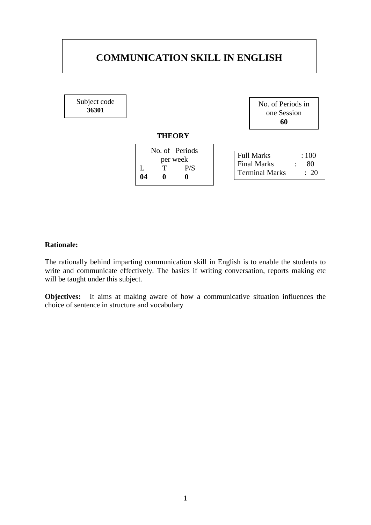# **COMMUNICATION SKILL IN ENGLISH**

Subject code **36301**

| No. of Periods in |
|-------------------|
| one Session       |
| 60                |

### **THEORY**

|    |          | No. of Periods |                                                                                       |
|----|----------|----------------|---------------------------------------------------------------------------------------|
| 04 | per week | P/S            | Full Marks<br>:100<br><b>Final Marks</b><br>80<br><b>Terminal Marks</b><br>$\cdot$ 20 |
|    |          |                |                                                                                       |

### **Rationale:**

The rationally behind imparting communication skill in English is to enable the students to write and communicate effectively. The basics if writing conversation, reports making etc will be taught under this subject.

**Objectives:** It aims at making aware of how a communicative situation influences the choice of sentence in structure and vocabulary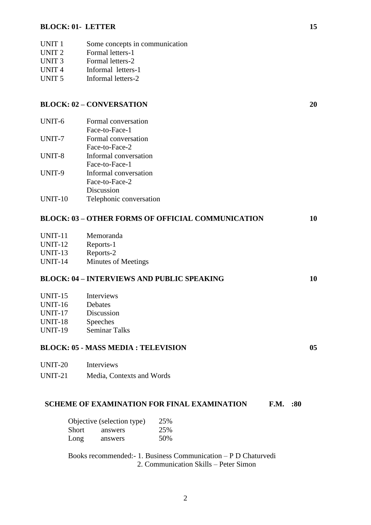#### **BLOCK: 01- LETTER 15**

- UNIT 1 Some concepts in communication
- UNIT 2 Formal letters-1
- UNIT 3 Formal letters-2
- UNIT 4 Informal letters-1
- UNIT 5 Informal letters-2

#### **BLOCK: 02 – CONVERSATION 20**

| Formal conversation     |
|-------------------------|
| Face-to-Face-1          |
| Formal conversation     |
| Face-to-Face-2          |
| Informal conversation   |
| Face-to-Face-1          |
| Informal conversation   |
| Face-to-Face-2          |
| Discussion              |
| Telephonic conversation |
|                         |

#### **BLOCK: 03 – OTHER FORMS OF OFFICIAL COMMUNICATION 10**

- UNIT-11 Memoranda
- UNIT-12 Reports-1
- UNIT-13 Reports-2
- UNIT-14 Minutes of Meetings

#### **BLOCK: 04 – INTERVIEWS AND PUBLIC SPEAKING 10**

- UNIT-16 **Debates**
- UNIT-17 Discussion
- UNIT-18 Speeches
- UNIT-19 Seminar Talks

### **BLOCK: 05 - MASS MEDIA : TELEVISION 05**

UNIT-20 Interviews UNIT-21 Media, Contexts and Words

#### **SCHEME OF EXAMINATION FOR FINAL EXAMINATION F.M. :80**

|       | Objective (selection type) | 25% |
|-------|----------------------------|-----|
| Short | answers                    | 25% |
| Long  | answers                    | 50% |

Books recommended:- 1. Business Communication – P D Chaturvedi 2. Communication Skills – Peter Simon

2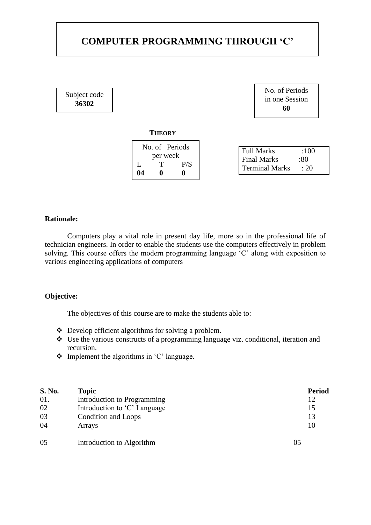# **COMPUTER PROGRAMMING THROUGH 'C'**

Subject code **36302**



| No. of Periods<br>per week |  | Full Marks<br>Final Marks | :100<br>:80 |  |  |
|----------------------------|--|---------------------------|-------------|--|--|
| P/S<br>04                  |  | <b>Terminal Marks</b>     | : 20        |  |  |
|                            |  |                           |             |  |  |

#### **Rationale:**

Computers play a vital role in present day life, more so in the professional life of technician engineers. In order to enable the students use the computers effectively in problem solving. This course offers the modern programming language 'C' along with exposition to various engineering applications of computers

#### **Objective:**

The objectives of this course are to make the students able to:

- Develop efficient algorithms for solving a problem.
- Use the various constructs of a programming language viz. conditional, iteration and recursion.
- $\triangleleft$  Implement the algorithms in 'C' language.

| S. No. | <b>Topic</b>                 | <b>Period</b> |
|--------|------------------------------|---------------|
| 01.    | Introduction to Programming  | 12            |
| 02     | Introduction to 'C' Language | 15            |
| 03     | Condition and Loops          | 13            |
| 04     | Arrays                       | 10            |
| 05     | Introduction to Algorithm    | 05            |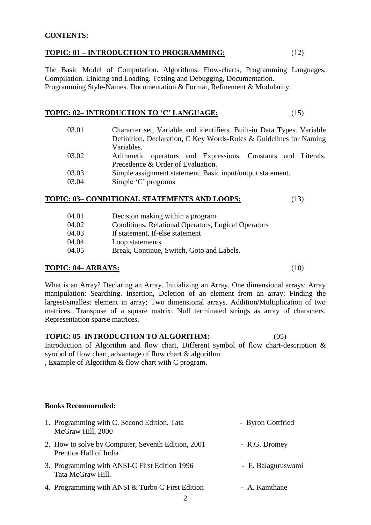#### **CONTENTS:**

#### **TOPIC: 01 – INTRODUCTION TO PROGRAMMING:** (12)

The Basic Model of Computation. Algorithms. Flow-charts, Programming Languages, Compilation. Linking and Loading. Testing and Debugging, Documentation. Programming Style-Names. Documentation & Format, Refinement & Modularity.

### **TOPIC: 02– INTRODUCTION TO 'C' LANGUAGE:** (15)

- 03.01 Character set, Variable and identifiers. Built-in Data Types. Variable Definition, Declaration, C Key Words-Rules & Guidelines for Naming Variables.
- 03.02 Arithmetic operators and Expressions. Constants and Literals. Precedence & Order of Evaluation.
- 03.03 Simple assignment statement. Basic input/output statement.
- 03.04 Simple 'C' programs

#### **TOPIC: 03– CONDITIONAL STATEMENTS AND LOOPS:** (13)

| 04.01 | Decision making within a program                    |
|-------|-----------------------------------------------------|
| 04.02 | Conditions, Relational Operators, Logical Operators |
| 04.03 | If statement, If-else statement                     |
| 04.04 | Loop statements                                     |
| 04.05 | Break, Continue, Switch, Goto and Labels.           |

#### **TOPIC: 04– ARRAYS:** (10)

What is an Array? Declaring an Array. Initializing an Array. One dimensional arrays: Array manipulation: Searching. Insertion, Deletion of an element from an array: Finding the largest/smallest element in array; Two dimensional arrays. Addition/Multiplication of two matrices. Transpose of a square matrix: Null terminated strings as array of characters. Representation sparse matrices.

#### **TOPIC: 05- INTRODUCTION TO ALGORITHM:-** (05)

Introduction of Algorithm and flow chart, Different symbol of flow chart-description & symbol of flow chart, advantage of flow chart & algorithm

, Example of Algorithm & flow chart with C program.

#### **Books Recommended:**

| 1. Programming with C. Second Edition. Tata<br>McGraw Hill, 2000             | - Byron Gottfried  |
|------------------------------------------------------------------------------|--------------------|
| 2. How to solve by Computer, Seventh Edition, 2001<br>Prentice Hall of India | - R.G. Dromey      |
| 3. Programming with ANSI-C First Edition 1996<br>Tata McGraw Hill.           | - E. Balaguruswami |
| 4. Programming with ANSI & Turbo C First Edition                             | - A. Kamthane      |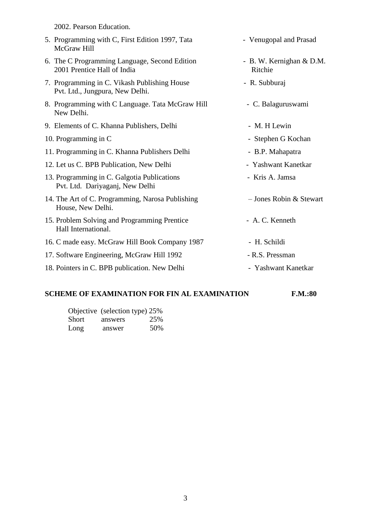2002. Pearson Education. 5. Programming with C, First Edition 1997, Tata - Venugopal and Prasad McGraw Hill 6. The C Programming Language, Second Edition - B. W. Kernighan & D.M. 2001 Prentice Hall of India Ritchie 7. Programming in C. Vikash Publishing House - R. Subburaj Pvt. Ltd., Jungpura, New Delhi. 8. Programming with C Language. Tata McGraw Hill - C. Balagurus wa mi New Delhi. 9. Elements of C. Khanna Publishers, Delhi - M. H Lewin 10. Programming in C - Stephen G Kochan 11. Programming in C. Khanna Publishers Delhi - B.P. Mahapatra 12. Let us C. BPB Publication, New Delhi - Yashwant Kanetkar 13. Programming in C. Galgotia Publications - Kris A. Jamsa Pvt. Ltd. Dariyaganj, New Delhi 14. The Art of C. Programming, Narosa Publishing – Jones Robin & Stewart House, New Delhi. 15. Problem Solving and Programming Prentice - A. C. Kenneth Hall International. 16. C made easy. McGraw Hill Book Company 1987 - H. Schildi 17. Software Engineering, McGraw Hill 1992 - R.S. Pressman 18. Pointers in C. BPB publication. New Delhi - Yashwant Kanetkar

#### **SCHEME OF EXAMINATION FOR FIN AL EXAMINATION F.M.:80**

|       | Objective (selection type) 25% |     |
|-------|--------------------------------|-----|
| Short | answers                        | 25% |
| Long  | answer                         | 50% |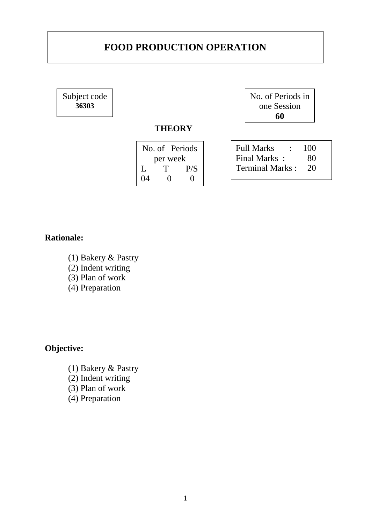# **FOOD PRODUCTION OPERATION**

Subject code **36303**

No. of Periods in one Session **60**

# **THEORY**

| $\vert$ Full Marks :<br>100  |
|------------------------------|
| Final Marks:                 |
| <b>Terminal Marks:</b><br>20 |
|                              |
|                              |

# **Rationale:**

- (1) Bakery & Pastry
- (2) Indent writing
- (3) Plan of work
- (4) Preparation

# **Objective:**

(1) Bakery & Pastry (2) Indent writing (3) Plan of work (4) Preparation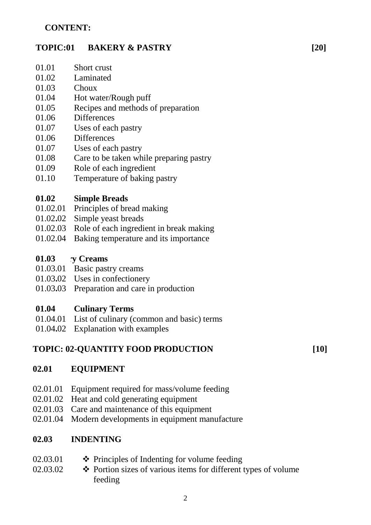# **CONTENT:**

# **TOPIC:01 BAKERY & PASTRY**

- 01.01 Short crust
- 01.02 Laminated
- 01.03 **Choux**
- 01.04 Hot water/Rough puff
- 01.05 Recipes and methods of preparation
- 01.06 **Differences**
- 01.07 Uses of each pastry
- 01.06 **Differences**
- 01.07 Uses of each pastry
- 01.08 Care to be taken while preparing pastry
- 01.09 Role of each ingredient
- 01.10 Temperature of baking pastry

#### **01.02 Simple Breads**

- 01.02.01 Principles of bread making
- 01.02**.**02 Simple yeast breads
- 01.02.03 Role of each ingredient in break making
- 01.02.04 Baking temperature and its importance

#### **01.03 PASTRY Creams**

- 01.03.01 Basic pastry creams
- 01.03**.**02 Uses in confectionery
- 01.03**.**03 Preparation and care in production

#### **01.04 Culinary Terms**

- 01.04.01 List of culinary (common and basic) terms
- 01.04**.**02 Explanation with examples

# **TOPIC: 02-QUANTITY FOOD PRODUCTION**

**[10]**

# **02.01 EQUIPMENT**

- 02.01.01 Equipment required for mass/volume feeding
- 02.01.02 Heat and cold generating equipment
- 02.01.03 Care and maintenance of this equipment
- 02.01.04 Modern developments in equipment manufacture

#### **02.03 INDENTING**

- 02.03.01 ❖ Principles of Indenting for volume feeding
- 02.03.02 Portion sizes of various items for different types of volume feeding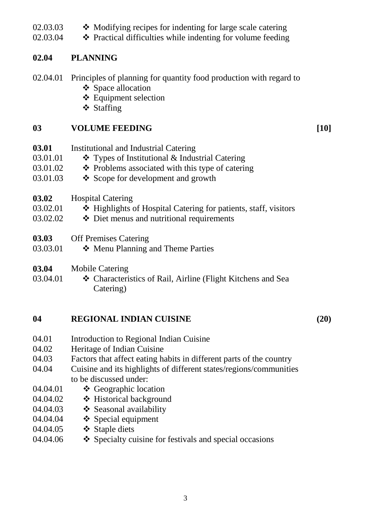- 02.03.03 • Modifying recipes for indenting for large scale catering
- 02.03.04 Practical difficulties while indenting for volume feeding

# **02.04 PLANNING**

- 02.04.01 Principles of planning for quantity food production with regard to ❖ Space allocation
	- Equipment selection
	- ❖ Staffing

# **03 VOLUME FEEDING [10]**

- **03.01** 03.01.01 03.01.02 03.01.03 **03.02** 03.02.01 Institutional and Industrial Catering Types of Institutional & Industrial Catering  $\triangle$  Problems associated with this type of catering Scope for development and growth Hospital Catering ❖ Highlights of Hospital Catering for patients, staff, visitors
- 03.02.02 Diet menus and nutritional requirements
- **03.03** Off Premises Catering
- 03.03.01 Menu Planning and Theme Parties
- **03.04** Mobile Catering
- 03.04.01 Characteristics of Rail, Airline (Flight Kitchens and Sea Catering)

# **04 REGIONAL INDIAN CUISINE (20)**

- 04.01 Introduction to Regional Indian Cuisine
- 04.02 Heritage of Indian Cuisine
- 04.03 Factors that affect eating habits in different parts of the country
- 04.04 Cuisine and its highlights of different states/regions/communities to be discussed under:
- 04.04.01 ❖ Geographic location
- 04.04.02 Historical background
- 04.04.03 Seasonal availability
- 04.04.04  $\div$  Special equipment
- 04.04.05 Staple diets
- 04.04.06  $\triangle$  Specialty cuisine for festivals and special occasions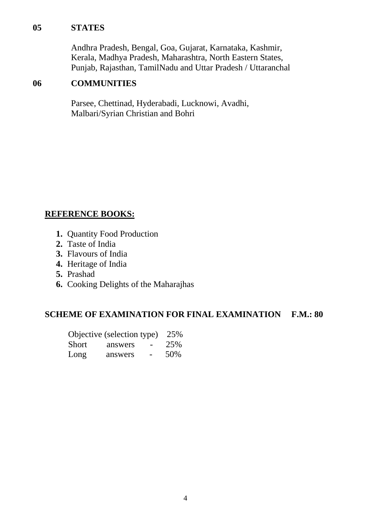# **05 STATES**

Andhra Pradesh, Bengal, Goa, Gujarat, Karnataka, Kashmir, Kerala, Madhya Pradesh, Maharashtra, North Eastern States, Punjab, Rajasthan, TamilNadu and Uttar Pradesh / Uttaranchal

# **06 COMMUNITIES**

Parsee, Chettinad, Hyderabadi, Lucknowi, Avadhi, Malbari/Syrian Christian and Bohri

# **REFERENCE BOOKS:**

- **1.** Quantity Food Production
- **2.** Taste of India
- **3.** Flavours of India
- **4.** Heritage of India
- **5.** Prashad
- **6.** Cooking Delights of the Maharajhas

# **SCHEME OF EXAMINATION FOR FINAL EXAMINATION F.M.: 80**

|       | Objective (selection type) |        | 25% |
|-------|----------------------------|--------|-----|
| Short | answers                    | $\sim$ | 25% |
| Long  | answers                    |        | 50% |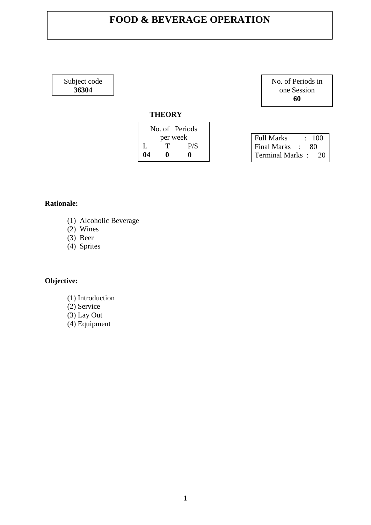# **FOOD & BEVERAGE OPERATION**

Subject code **36304**

## **THEORY**

|    |          | No. of Periods |  |
|----|----------|----------------|--|
|    | per week |                |  |
| L  | т        | P/S            |  |
| 04 | o        | o              |  |

No. of Periods in one Session **60**

| <b>Full Marks</b>  |  | : 100 |
|--------------------|--|-------|
| <b>Final Marks</b> |  | 80    |
| Terminal Marks:    |  | 20    |

### **Rationale:**

- (1) Alcoholic Beverage
- $(2)$  Wines
- $(3)$  Beer
- (4) Sprites

# **Objective:**

- (1) Introduction
- (2) Service
- $(3)$  Lay Out
- (4) Equipment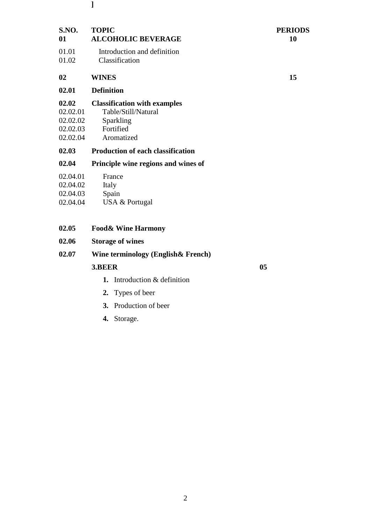- **S.NO. ] TOPIC PERIODS 01** 01.01 01.02 **ALCOHOLIC BEVERAGE** Introduction and definition Classification **10 02 02.01 02.02** 02.02.01 02.02.02 02.02.03 02.02.04 **02.03 02.04 WINES Definition Classification with examples** Table/Still/Natural Sparkling Fortified Aromatized **Production of each classification Principle wine regions and wines of 15**
- 02.04.01 02.04.02 France Italy
- 02.04.03 Spain
- 02.04.04 USA & Portugal
- **02.05 Food& Wine Harmony**
- **02.06 Storage of wines**
- **02.07 Wine terminology (English& French)**

#### **3.BEER** 05

- **1.** Introduction & definition
- **2.** Types of beer
- **3.** Production of beer
- **4.** Storage.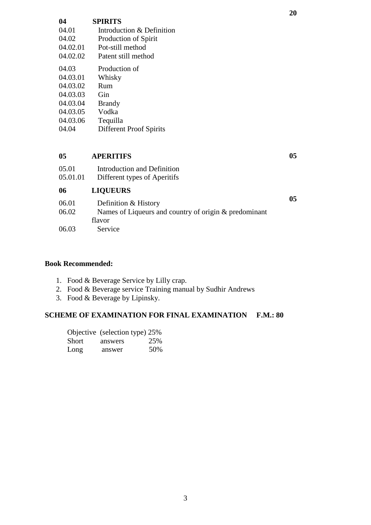| <b>SPIRITS</b><br>Introduction & Definition |
|---------------------------------------------|
| Production of Spirit<br>Pot-still method    |
| Patent still method<br>Production of        |
| Whisky<br>$R_{\text{I} \text{I} \text{m}}$  |
| Gin                                         |
| <b>Brandy</b><br>Vodka                      |
| Tequilla<br><b>Different Proof Spirits</b>  |
|                                             |

#### **05 APERITIFS**

| Introduction and Definition |
|-----------------------------|
|                             |

05.01.01 Different types of Aperitifs

#### **06 LIQUEURS**

| 06.01 | Definition & History                                  |  |
|-------|-------------------------------------------------------|--|
| 06.02 | Names of Liqueurs and country of origin & predominant |  |
|       | flavor                                                |  |
| 06.03 | Service                                               |  |

### **Book Recommended:**

- 1. Food & Beverage Service by Lilly crap.
- 2. Food & Beverage service Training manual by Sudhir Andrews
- 3. Food & Beverage by Lipinsky.

# **SCHEME OF EXAMINATION FOR FINAL EXAMINATION F.M.: 80**

|       | Objective (selection type) 25% |     |
|-------|--------------------------------|-----|
| Short | answers                        | 25% |
| Long  | answer                         | 50% |

**05**

**05**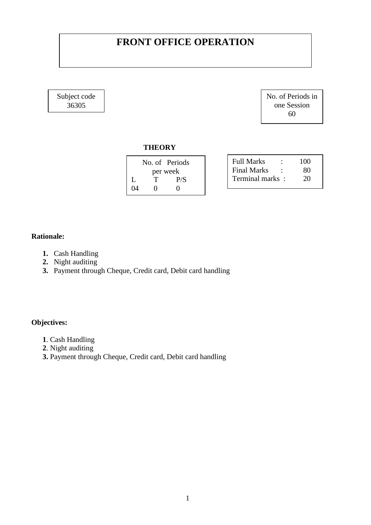# **FRONT OFFICE OPERATION**

Subject code 36305

No. of Periods in one Session 60

#### **THEORY**

|    |          | No. of Periods |  |
|----|----------|----------------|--|
|    | per week |                |  |
|    | T        | P/S            |  |
| 04 |          |                |  |

| Full Marks      | 100 |
|-----------------|-----|
| Final Marks     | 80  |
| Terminal marks: | 20  |

### **Rationale:**

- **1.** Cash Handling
- **2.** Night auditing
- **3.** Payment through Cheque, Credit card, Debit card handling

# **Objectives:**

- **1**. Cash Handling
- **2**. Night auditing
- **3.** Payment through Cheque, Credit card, Debit card handling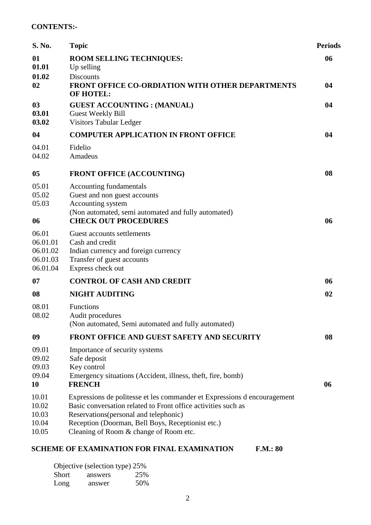### **CONTENTS:-**

| S. No.                                                | <b>Topic</b>                                                                                                                                                                                                                                                                       | <b>Periods</b> |
|-------------------------------------------------------|------------------------------------------------------------------------------------------------------------------------------------------------------------------------------------------------------------------------------------------------------------------------------------|----------------|
| 01<br>01.01                                           | <b>ROOM SELLING TECHNIQUES:</b><br>Up selling                                                                                                                                                                                                                                      | 06             |
| 01.02<br>02                                           | <b>Discounts</b><br><b>FRONT OFFICE CO-ORDIATION WITH OTHER DEPARTMENTS</b><br><b>OF HOTEL:</b>                                                                                                                                                                                    | 04             |
| 03<br>03.01<br>03.02                                  | <b>GUEST ACCOUNTING : (MANUAL)</b><br>Guest Weekly Bill<br>Visitors Tabular Ledger                                                                                                                                                                                                 | 04             |
| 04                                                    | <b>COMPUTER APPLICATION IN FRONT OFFICE</b>                                                                                                                                                                                                                                        | 04             |
| 04.01<br>04.02                                        | Fidelio<br>Amadeus                                                                                                                                                                                                                                                                 |                |
| 05                                                    | <b>FRONT OFFICE (ACCOUNTING)</b>                                                                                                                                                                                                                                                   | 08             |
| 05.01<br>05.02<br>05.03                               | Accounting fundamentals<br>Guest and non guest accounts<br>Accounting system                                                                                                                                                                                                       |                |
| 06                                                    | (Non automated, semi automated and fully automated)<br><b>CHECK OUT PROCEDURES</b>                                                                                                                                                                                                 | 06             |
| 06.01<br>06.01.01<br>06.01.02<br>06.01.03<br>06.01.04 | Guest accounts settlements<br>Cash and credit<br>Indian currency and foreign currency<br>Transfer of guest accounts<br>Express check out                                                                                                                                           |                |
| 07                                                    | <b>CONTROL OF CASH AND CREDIT</b>                                                                                                                                                                                                                                                  | 06             |
| 08                                                    | <b>NIGHT AUDITING</b>                                                                                                                                                                                                                                                              | 02             |
| 08.01<br>08.02                                        | Functions<br>Audit procedures<br>(Non automated, Semi automated and fully automated)                                                                                                                                                                                               |                |
| 09                                                    | FRONT OFFICE AND GUEST SAFETY AND SECURITY                                                                                                                                                                                                                                         | 08             |
| 09.01<br>09.02<br>09.03<br>09.04<br>10                | Importance of security systems<br>Safe deposit<br>Key control<br>Emergency situations (Accident, illness, theft, fire, bomb)<br><b>FRENCH</b>                                                                                                                                      | 06             |
| 10.01<br>10.02<br>10.03<br>10.04<br>10.05             | Expressions de politesse et les commander et Expressions d'encouragement<br>Basic conversation related to Front office activities such as<br>Reservations (personal and telephonic)<br>Reception (Doorman, Bell Boys, Receptionist etc.)<br>Cleaning of Room & change of Room etc. |                |

# **SCHEME OF EXAMINATION FOR FINAL EXAMINATION F.M.: 80**

| Objective (selection type) 25% |         |     |  |  |
|--------------------------------|---------|-----|--|--|
| Short                          | answers | 25% |  |  |
| Long                           | answer  | 50% |  |  |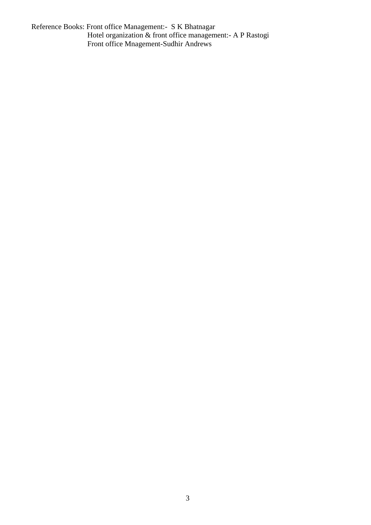Reference Books: Front office Management:- S K Bhatnagar Hotel organization & front office management:- A P Rastogi Front office Mnagement-Sudhir Andrews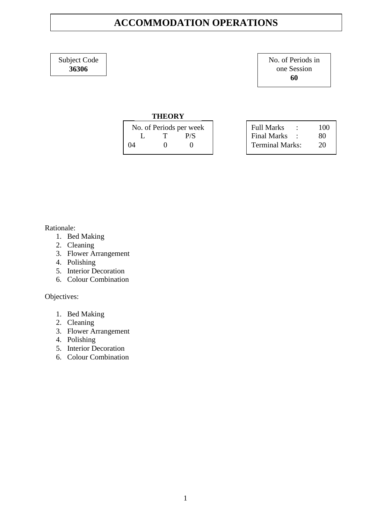# **ACCOMMODATION OPERATIONS**

Subject Code **36306**

No. of Periods in one Session **60**

#### **THEORY**

| No. of Periods per week |                   |                   |  |
|-------------------------|-------------------|-------------------|--|
| Ι.                      | T                 | P/S               |  |
| 04                      | $\mathbf{\Omega}$ | $\mathbf{\Omega}$ |  |

| <b>Full Marks</b>      | 100 |
|------------------------|-----|
| <b>Final Marks</b>     | 80  |
| <b>Terminal Marks:</b> | 20  |

Rationale:

- 1. Bed Making
- 2. Cleaning
- 3. Flower Arrangement
- 4. Polishing
- 5. Interior Decoration
- 6. Colour Combination

Objectives:

- 1. Bed Making
- 2. Cleaning
- 3. Flower Arrangement
- 4. Polishing
- 5. Interior Decoration
- 6. Colour Combination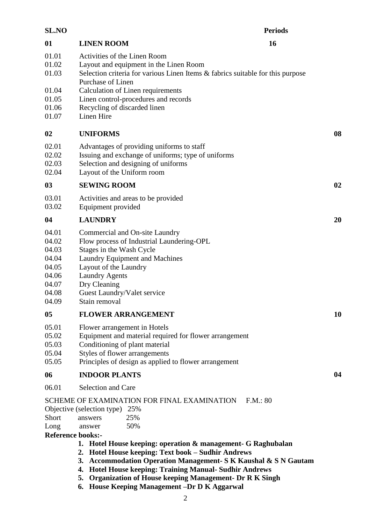| <b>SL.NO</b>                                                                  | <b>Periods</b>                                                                                                                                                                                                                                                                                                                                                                                                                                            |    |
|-------------------------------------------------------------------------------|-----------------------------------------------------------------------------------------------------------------------------------------------------------------------------------------------------------------------------------------------------------------------------------------------------------------------------------------------------------------------------------------------------------------------------------------------------------|----|
| 01                                                                            | <b>LINEN ROOM</b><br>16                                                                                                                                                                                                                                                                                                                                                                                                                                   |    |
| 01.01<br>01.02<br>01.03                                                       | Activities of the Linen Room<br>Layout and equipment in the Linen Room<br>Selection criteria for various Linen Items & fabrics suitable for this purpose<br>Purchase of Linen                                                                                                                                                                                                                                                                             |    |
| 01.04<br>01.05<br>01.06<br>01.07                                              | Calculation of Linen requirements<br>Linen control-procedures and records<br>Recycling of discarded linen<br>Linen Hire                                                                                                                                                                                                                                                                                                                                   |    |
| 02                                                                            | <b>UNIFORMS</b>                                                                                                                                                                                                                                                                                                                                                                                                                                           | 08 |
| 02.01<br>02.02<br>02.03<br>02.04                                              | Advantages of providing uniforms to staff<br>Issuing and exchange of uniforms; type of uniforms<br>Selection and designing of uniforms<br>Layout of the Uniform room                                                                                                                                                                                                                                                                                      |    |
| $\boldsymbol{03}$                                                             | <b>SEWING ROOM</b>                                                                                                                                                                                                                                                                                                                                                                                                                                        | 02 |
| 03.01<br>03.02                                                                | Activities and areas to be provided<br>Equipment provided                                                                                                                                                                                                                                                                                                                                                                                                 |    |
| 04                                                                            | <b>LAUNDRY</b>                                                                                                                                                                                                                                                                                                                                                                                                                                            | 20 |
| 04.01<br>04.02<br>04.03<br>04.04<br>04.05<br>04.06<br>04.07<br>04.08<br>04.09 | Commercial and On-site Laundry<br>Flow process of Industrial Laundering-OPL<br>Stages in the Wash Cycle<br>Laundry Equipment and Machines<br>Layout of the Laundry<br><b>Laundry Agents</b><br>Dry Cleaning<br>Guest Laundry/Valet service<br>Stain removal                                                                                                                                                                                               |    |
| 05                                                                            | <b>FLOWER ARRANGEMENT</b>                                                                                                                                                                                                                                                                                                                                                                                                                                 | 10 |
| 05.01<br>05.02<br>05.03<br>05.04<br>05.05                                     | Flower arrangement in Hotels<br>Equipment and material required for flower arrangement<br>Conditioning of plant material<br>Styles of flower arrangements<br>Principles of design as applied to flower arrangement                                                                                                                                                                                                                                        |    |
| 06                                                                            | <b>INDOOR PLANTS</b>                                                                                                                                                                                                                                                                                                                                                                                                                                      | 04 |
| 06.01                                                                         | Selection and Care                                                                                                                                                                                                                                                                                                                                                                                                                                        |    |
|                                                                               | SCHEME OF EXAMINATION FOR FINAL EXAMINATION<br>F.M.: 80<br>Objective (selection type) 25%<br>25%<br>answers<br>50%<br>answer<br>1. Hotel House keeping: operation & management- G Raghubalan<br>Hotel House keeping: Text book - Sudhir Andrews<br>2.<br>3. Accommodation Operation Management- S K Kaushal & S N Gautam<br>4. Hotel House keeping: Training Manual-Sudhir Andrews<br><b>Organization of House keeping Management- Dr R K Singh</b><br>5. |    |
| Short<br>Long<br><b>Reference books:-</b>                                     | 6. House Keeping Management -Dr D K Aggarwal                                                                                                                                                                                                                                                                                                                                                                                                              |    |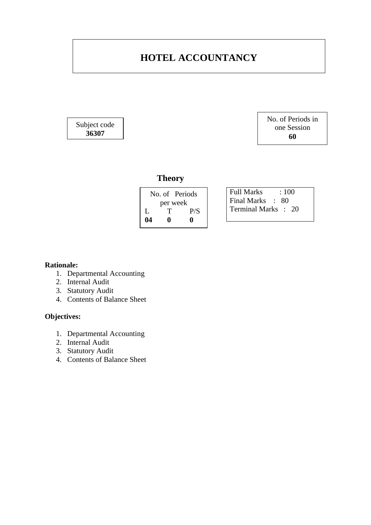# **HOTEL ACCOUNTANCY**

Subject code **36307**

No. of Periods in one Session **60**

# **Theory**

| No. of Periods |   |     |
|----------------|---|-----|
| per week       |   |     |
| L              | т | P/S |
| 04             | o | o   |

Full Marks : 100 Final Marks : 80 Terminal Marks : 20

#### **Rationale:**

- 1. Departmental Accounting
- 2. Internal Audit
- 3. Statutory Audit
- 4. Contents of Balance Sheet

### **Objectives:**

- 1. Departmental Accounting
- 2. Internal Audit
- 3. Statutory Audit
- 4. Contents of Balance Sheet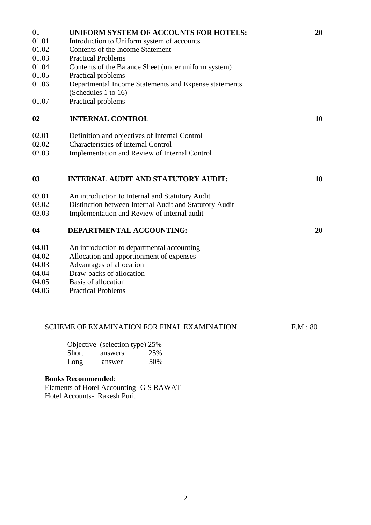| 01    | UNIFORM SYSTEM OF ACCOUNTS FOR HOTELS:                 | 20       |
|-------|--------------------------------------------------------|----------|
| 01.01 | Introduction to Uniform system of accounts             |          |
| 01.02 | Contents of the Income Statement                       |          |
| 01.03 | <b>Practical Problems</b>                              |          |
| 01.04 | Contents of the Balance Sheet (under uniform system)   |          |
| 01.05 | Practical problems                                     |          |
| 01.06 | Departmental Income Statements and Expense statements  |          |
|       | (Schedules 1 to 16)                                    |          |
| 01.07 | Practical problems                                     |          |
| 02    | <b>INTERNAL CONTROL</b>                                | 10       |
| 02.01 | Definition and objectives of Internal Control          |          |
| 02.02 | <b>Characteristics of Internal Control</b>             |          |
| 02.03 | Implementation and Review of Internal Control          |          |
| 03    | <b>INTERNAL AUDIT AND STATUTORY AUDIT:</b>             | 10       |
| 03.01 | An introduction to Internal and Statutory Audit        |          |
| 03.02 | Distinction between Internal Audit and Statutory Audit |          |
| 03.03 | Implementation and Review of internal audit            |          |
| 04    | DEPARTMENTAL ACCOUNTING:                               | 20       |
| 04.01 | An introduction to departmental accounting             |          |
| 04.02 | Allocation and apportionment of expenses               |          |
| 04.03 | Advantages of allocation                               |          |
| 04.04 | Draw-backs of allocation                               |          |
| 04.05 | Basis of allocation                                    |          |
| 04.06 | <b>Practical Problems</b>                              |          |
|       |                                                        |          |
|       | SCHEME OF EXAMINATION FOR FINAL EXAMINATION            | F.M.: 80 |
|       | Objective (selection type) 25%                         |          |
|       | 25%<br>Short<br>answers                                |          |
|       | 50%<br>Long<br>answer                                  |          |

# **Books Recommended**:

Elements of Hotel Accounting- G S RAWAT Hotel Accounts- Rakesh Puri.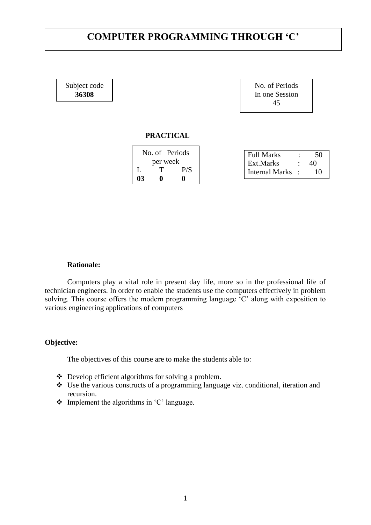# **COMPUTER PROGRAMMING THROUGH 'C'**

Subject code **36308**

| No. of Periods |  |
|----------------|--|
| In one Session |  |
| 45             |  |

#### **PRACTICAL**

| No. of Periods |          |  | <b>Full Marks</b> |  |
|----------------|----------|--|-------------------|--|
|                | per week |  | Ext.Marks         |  |
|                |          |  | Internal Marks :  |  |
|                |          |  |                   |  |

#### **Rationale:**

Computers play a vital role in present day life, more so in the professional life of technician engineers. In order to enable the students use the computers effectively in problem solving. This course offers the modern programming language 'C' along with exposition to various engineering applications of computers

#### **Objective:**

The objectives of this course are to make the students able to:

- Develop efficient algorithms for solving a problem.
- Use the various constructs of a programming language viz. conditional, iteration and recursion.
- $\triangleleft$  Implement the algorithms in 'C' language.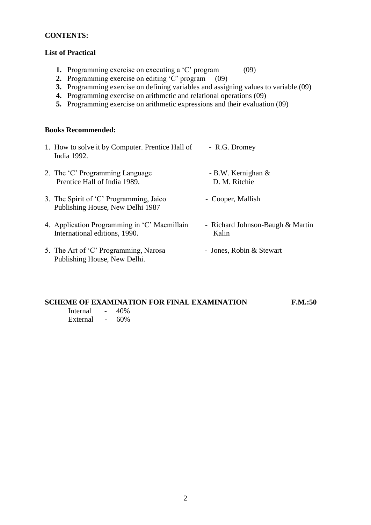#### **CONTENTS:**

### **List of Practical**

- **1.** Programming exercise on executing a 'C' program (09)
- **2.** Programming exercise on editing 'C' program (09)
- **3.** Programming exercise on defining variables and assigning values to variable.(09)
- **4.** Programming exercise on arithmetic and relational operations (09)
- **5.** Programming exercise on arithmetic expressions and their evaluation (09)

#### **Books Recommended:**

| 1. How to solve it by Computer. Prentice Hall of<br>India 1992.               | - R.G. Dromey                             |
|-------------------------------------------------------------------------------|-------------------------------------------|
| 2. The 'C' Programming Language<br>Prentice Hall of India 1989.               | - B.W. Kernighan $&$<br>D. M. Ritchie     |
| 3. The Spirit of 'C' Programming, Jaico<br>Publishing House, New Delhi 1987   | - Cooper, Mallish                         |
| 4. Application Programming in 'C' Macmillain<br>International editions, 1990. | - Richard Johnson-Baugh & Martin<br>Kalin |
| 5. The Art of 'C' Programming, Narosa<br>Publishing House, New Delhi.         | - Jones, Robin & Stewart                  |

### **SCHEME OF EXAMINATION FOR FINAL EXAMINATION F.M.:50**

| Internal | 40% |
|----------|-----|
| External | 60% |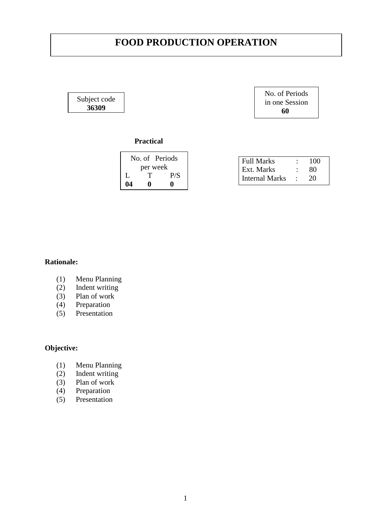# **FOOD PRODUCTION OPERATION**

Subject code **36309**

No. of Periods in one Session  **60**

## **Practical**

|    | No. of Periods |     |  |
|----|----------------|-----|--|
|    | per week       |     |  |
| L  | Τ              | P/S |  |
| 04 | o              | o   |  |

| <b>Full Marks</b> | 100 |
|-------------------|-----|
| Ext. Marks        | 80  |
| Internal Marks    | 20  |

#### **Rationale:**

- (1) Menu Planning
- (2) Indent writing
- (3) Plan of work<br>(4) Preparation
- Preparation
- (5) Presentation

# **Objective:**

- (1) Menu Planning
- (2) Indent writing
- (3) Plan of work
- (4) Preparation
- (5) Presentation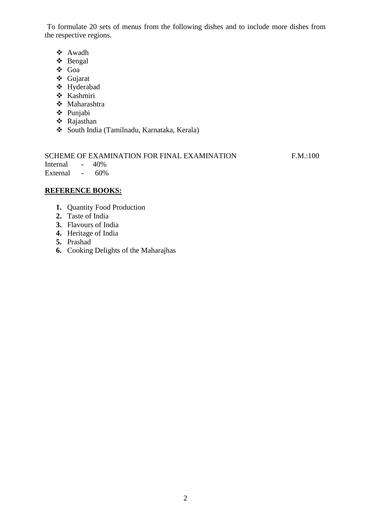To formulate 20 sets of menus from the following dishes and to include more dishes from the respective regions.

- Awadh
- Bengal
- Goa
- Gujarat
- Hyderabad
- Kashmiri
- Maharashtra
- Punjabi
- Rajasthan
- South India (Tamilnadu, Karnataka, Kerala)

|                  | SCHEME OF EXAMINATION FOR FINAL EXAMINATION | F.M.:100 |
|------------------|---------------------------------------------|----------|
| Internal - 40%   |                                             |          |
| External $-60\%$ |                                             |          |

### **REFERENCE BOOKS:**

- **1.** Quantity Food Production
- **2.** Taste of India
- **3.** Flavours of India
- **4.** Heritage of India
- **5.** Prashad
- **6.** Cooking Delights of the Maharajhas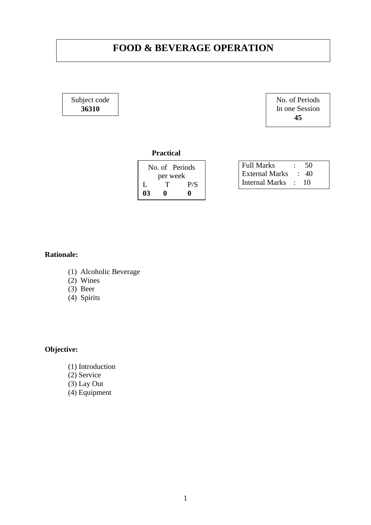# **FOOD & BEVERAGE OPERATION**

Subject code **36310**

No. of Periods In one Session **45**

#### **Practical**

| No. of Periods |    |     |  |
|----------------|----|-----|--|
| per week       |    |     |  |
|                | Ήï | P/S |  |
| 03             |    |     |  |

| <b>Full Marks</b>     | - 50       |
|-----------------------|------------|
| <b>External Marks</b> | $\cdot$ 40 |
| Internal Marks :      | -10        |

### **Rationale:**

- (1) Alcoholic Beverage
- $(2)$  Wines
- (3) Beer
- (4) Spirits

# **Objective:**

- (1) Introduction
- (2) Service
- (3) Lay Out
- (4) Equipment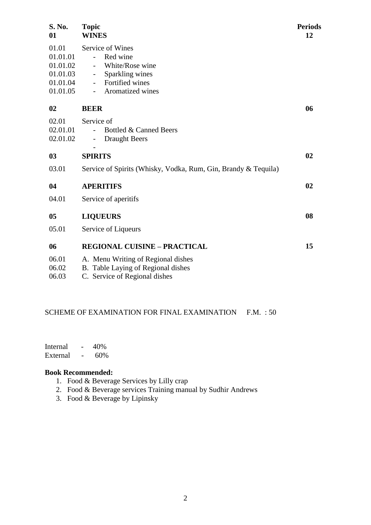| S. No.<br>01                                                      | <b>Topic</b><br><b>WINES</b>                                                                                                            | <b>Periods</b><br>12 |
|-------------------------------------------------------------------|-----------------------------------------------------------------------------------------------------------------------------------------|----------------------|
| 01.01<br>01.01.01<br>01.01.02<br>01.01.03<br>01.01.04<br>01.01.05 | Service of Wines<br>Red wine<br>$\sim$<br>White/Rose wine<br>Sparkling wines<br>$\sim$<br>Fortified wines<br>Aromatized wines<br>$\sim$ |                      |
| 02                                                                | <b>BEER</b>                                                                                                                             | 06                   |
| 02.01<br>02.01.01<br>02.01.02                                     | Service of<br>Bottled & Canned Beers<br><b>Draught Beers</b><br>$\overline{\phantom{a}}$                                                |                      |
| 0 <sub>3</sub>                                                    | <b>SPIRITS</b>                                                                                                                          | 02                   |
| 03.01                                                             | Service of Spirits (Whisky, Vodka, Rum, Gin, Brandy & Tequila)                                                                          |                      |
| 04                                                                | <b>APERITIFS</b>                                                                                                                        | 02                   |
| 04.01                                                             | Service of aperitifs                                                                                                                    |                      |
| 05                                                                | <b>LIQUEURS</b>                                                                                                                         | 08                   |
| 05.01                                                             | Service of Liqueurs                                                                                                                     |                      |
| 06                                                                | <b>REGIONAL CUISINE - PRACTICAL</b>                                                                                                     | 15                   |
| 06.01<br>06.02<br>06.03                                           | A. Menu Writing of Regional dishes<br>B. Table Laying of Regional dishes<br>C. Service of Regional dishes                               |                      |
|                                                                   |                                                                                                                                         |                      |

#### SCHEME OF EXAMINATION FOR FINAL EXAMINATION F.M. : 50

Internal - 40%<br>External - 60% External -

### **Book Recommended:**

- 1. Food & Beverage Services by Lilly crap
- 2. Food & Beverage services Training manual by Sudhir Andrews
- 3. Food & Beverage by Lipinsky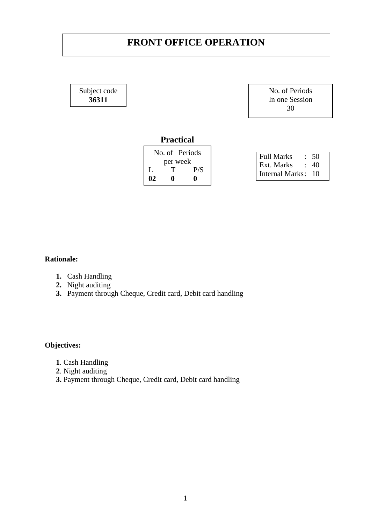# **FRONT OFFICE OPERATION**

Subject code **36311**

No. of Periods In one Session 30

# **Practical**

|    | No. of Periods |     | Full Marks              | $\therefore$ 50 |  |
|----|----------------|-----|-------------------------|-----------------|--|
|    | per week       |     | $\vert$ Ext. Marks : 40 |                 |  |
|    |                | P/S | Internal Marks: 10      |                 |  |
| 02 |                |     |                         |                 |  |
|    |                |     |                         |                 |  |

### **Rationale:**

- **1.** Cash Handling
- **2.** Night auditing
- **3.** Payment through Cheque, Credit card, Debit card handling

# **Objectives:**

- **1**. Cash Handling
- **2**. Night auditing
- **3.** Payment through Cheque, Credit card, Debit card handling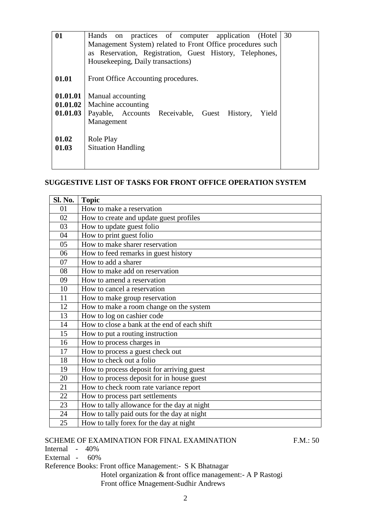| 01                   | Hands on practices of computer application (Hotel<br>Management System) related to Front Office procedures such<br>as Reservation, Registration, Guest History, Telephones,<br>Housekeeping, Daily transactions) | 30 |
|----------------------|------------------------------------------------------------------------------------------------------------------------------------------------------------------------------------------------------------------|----|
| 01.01                | Front Office Accounting procedures.                                                                                                                                                                              |    |
| 01.01.01<br>01.01.03 | Manual accounting<br>01.01.02   Machine accounting<br>Payable, Accounts Receivable, Guest History,<br>Yield<br>Management                                                                                        |    |
| 01.02<br>01.03       | Role Play<br><b>Situation Handling</b>                                                                                                                                                                           |    |

# **SUGGESTIVE LIST OF TASKS FOR FRONT OFFICE OPERATION SYSTEM**

| Sl. No. | <b>Topic</b>                                 |
|---------|----------------------------------------------|
| 01      | How to make a reservation                    |
| 02      | How to create and update guest profiles      |
| 03      | How to update guest folio                    |
| 04      | How to print guest folio                     |
| 05      | How to make sharer reservation               |
| 06      | How to feed remarks in guest history         |
| 07      | How to add a sharer                          |
| 08      | How to make add on reservation               |
| 09      | How to amend a reservation                   |
| 10      | How to cancel a reservation                  |
| 11      | How to make group reservation                |
| 12      | How to make a room change on the system      |
| 13      | How to log on cashier code                   |
| 14      | How to close a bank at the end of each shift |
| 15      | How to put a routing instruction             |
| 16      | How to process charges in                    |
| 17      | How to process a guest check out             |
| 18      | How to check out a folio                     |
| 19      | How to process deposit for arriving guest    |
| 20      | How to process deposit for in house guest    |
| 21      | How to check room rate variance report       |
| 22      | How to process part settlements              |
| 23      | How to tally allowance for the day at night  |
| 24      | How to tally paid outs for the day at night  |
| 25      | How to tally forex for the day at night      |

### SCHEME OF EXAMINATION FOR FINAL EXAMINATION F.M.: 50

Internal - 40%

External - 60%

Reference Books: Front office Management:- S K Bhatnagar

 Hotel organization & front office management:- A P Rastogi Front office Mnagement-Sudhir Andrews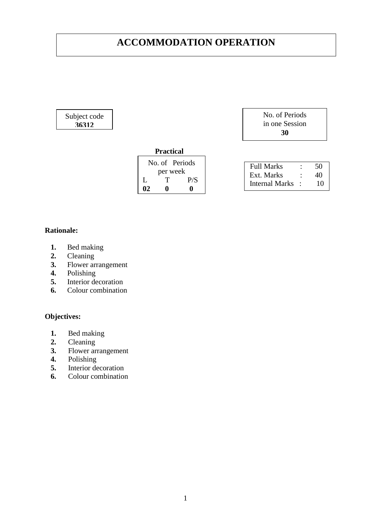# **ACCOMMODATION OPERATION**

#### Subject code **36312**

| No. of Periods |
|----------------|
| in one Session |
| 30             |

### **Practical**

|          | No. of Periods |     |  |
|----------|----------------|-----|--|
| per week |                |     |  |
|          | T              | P/S |  |
| 02       | o              | o   |  |

| <b>Full Marks</b> | 50 |
|-------------------|----|
| Ext. Marks        | 40 |
| Internal Marks    | 10 |

## **Rationale:**

- **1.** Bed making
- 2. Cleaning<br>3. Flower are
- **3.** Flower arrangement
- **4.** Polishing
- **5.** Interior decoration
- **6.** Colour combination

### **Objectives:**

- **1.** Bed making
- **2.** Cleaning
- **3.** Flower arrangement
- **4.** Polishing
- **5.** Interior decoration
- **6.** Colour combination